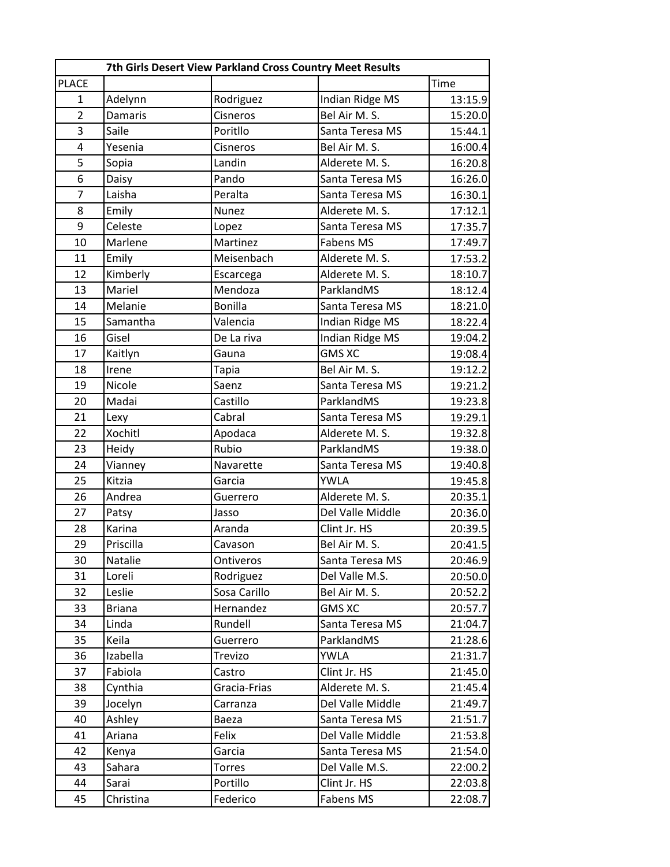|                |                | 7th Girls Desert View Parkland Cross Country Meet Results |                        |         |
|----------------|----------------|-----------------------------------------------------------|------------------------|---------|
| <b>PLACE</b>   |                |                                                           |                        | Time    |
| $\mathbf{1}$   | Adelynn        | Rodriguez                                                 | Indian Ridge MS        | 13:15.9 |
| $\overline{2}$ | <b>Damaris</b> | Cisneros                                                  | Bel Air M. S.          | 15:20.0 |
| 3              | Saile          | Poritllo                                                  | Santa Teresa MS        | 15:44.1 |
| 4              | Yesenia        | Cisneros                                                  | Bel Air M. S.          | 16:00.4 |
| 5              | Sopia          | Landin                                                    | Alderete M. S.         | 16:20.8 |
| 6              | Daisy          | Pando                                                     | Santa Teresa MS        | 16:26.0 |
| $\overline{7}$ | Laisha         | Peralta                                                   | Santa Teresa MS        | 16:30.1 |
| 8              | Emily          | <b>Nunez</b>                                              | Alderete M. S.         | 17:12.1 |
| 9              | Celeste        | Lopez                                                     | Santa Teresa MS        | 17:35.7 |
| 10             | Marlene        | Martinez                                                  | <b>Fabens MS</b>       | 17:49.7 |
| 11             | Emily          | Meisenbach                                                | Alderete M. S.         | 17:53.2 |
| 12             | Kimberly       | Escarcega                                                 | Alderete M. S.         | 18:10.7 |
| 13             | Mariel         | Mendoza                                                   | ParklandMS             | 18:12.4 |
| 14             | Melanie        | <b>Bonilla</b>                                            | Santa Teresa MS        | 18:21.0 |
| 15             | Samantha       | Valencia                                                  | Indian Ridge MS        | 18:22.4 |
| 16             | Gisel          | De La riva                                                | <b>Indian Ridge MS</b> | 19:04.2 |
| 17             | Kaitlyn        | Gauna                                                     | <b>GMS XC</b>          | 19:08.4 |
| 18             | Irene          | Tapia                                                     | Bel Air M. S.          | 19:12.2 |
| 19             | Nicole         | Saenz                                                     | Santa Teresa MS        | 19:21.2 |
| 20             | Madai          | Castillo                                                  | ParklandMS             | 19:23.8 |
| 21             | Lexy           | Cabral                                                    | Santa Teresa MS        | 19:29.1 |
| 22             | Xochitl        | Apodaca                                                   | Alderete M. S.         | 19:32.8 |
| 23             | Heidy          | Rubio                                                     | ParklandMS             | 19:38.0 |
| 24             | Vianney        | Navarette                                                 | Santa Teresa MS        | 19:40.8 |
| 25             | Kitzia         | Garcia                                                    | <b>YWLA</b>            | 19:45.8 |
| 26             | Andrea         | Guerrero                                                  | Alderete M. S.         | 20:35.1 |
| 27             | Patsy          | Jasso                                                     | Del Valle Middle       | 20:36.0 |
| 28             | Karina         | Aranda                                                    | Clint Jr. HS           | 20:39.5 |
| 29             | Priscilla      | Cavason                                                   | Bel Air M. S.          | 20:41.5 |
| 30             | Natalie        | Ontiveros                                                 | Santa Teresa MS        | 20:46.9 |
| 31             | Loreli         | Rodriguez                                                 | Del Valle M.S.         | 20:50.0 |
| 32             | Leslie         | Sosa Carillo                                              | Bel Air M. S.          | 20:52.2 |
| 33             | <b>Briana</b>  | Hernandez                                                 | <b>GMS XC</b>          | 20:57.7 |
| 34             | Linda          | Rundell                                                   | Santa Teresa MS        | 21:04.7 |
| 35             | Keila          | Guerrero                                                  | ParklandMS             | 21:28.6 |
| 36             | Izabella       | Trevizo                                                   | <b>YWLA</b>            | 21:31.7 |
| 37             | Fabiola        | Castro                                                    | Clint Jr. HS           | 21:45.0 |
| 38             | Cynthia        | Gracia-Frias                                              | Alderete M. S.         | 21:45.4 |
| 39             | Jocelyn        | Carranza                                                  | Del Valle Middle       | 21:49.7 |
| 40             | Ashley         | Baeza                                                     | Santa Teresa MS        | 21:51.7 |
| 41             | Ariana         | Felix                                                     | Del Valle Middle       | 21:53.8 |
| 42             | Kenya          | Garcia                                                    | Santa Teresa MS        | 21:54.0 |
| 43             | Sahara         | <b>Torres</b>                                             | Del Valle M.S.         | 22:00.2 |
| 44             | Sarai          | Portillo                                                  | Clint Jr. HS           | 22:03.8 |
|                |                |                                                           |                        | 22:08.7 |
| 45             | Christina      | Federico                                                  | Fabens MS              |         |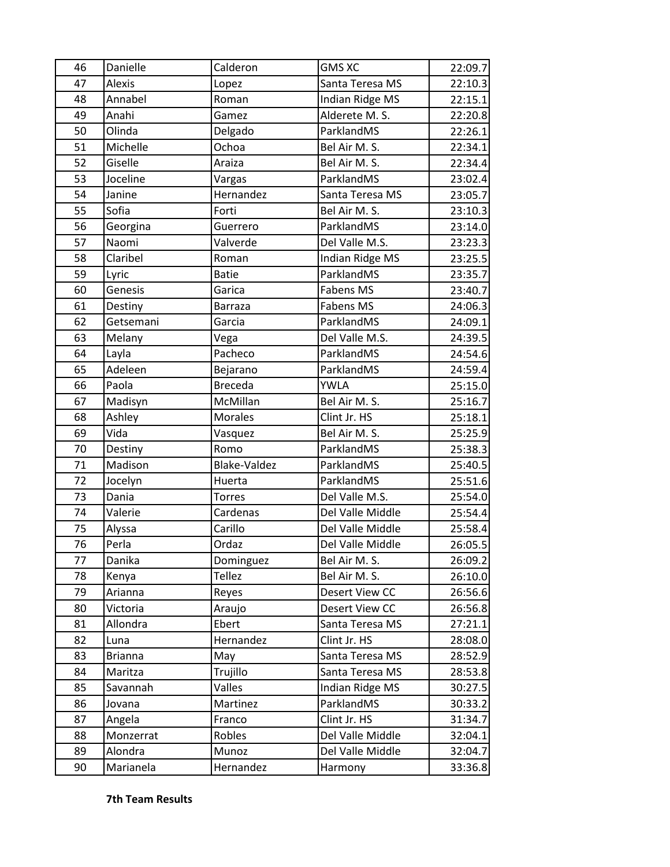| 46 | Danielle       | Calderon       | <b>GMS XC</b>    | 22:09.7 |
|----|----------------|----------------|------------------|---------|
| 47 | Alexis         | Lopez          | Santa Teresa MS  | 22:10.3 |
| 48 | Annabel        | Roman          | Indian Ridge MS  | 22:15.1 |
| 49 | Anahi          | Gamez          | Alderete M. S.   | 22:20.8 |
| 50 | Olinda         | Delgado        | ParklandMS       | 22:26.1 |
| 51 | Michelle       | Ochoa          | Bel Air M. S.    | 22:34.1 |
| 52 | Giselle        | Araiza         | Bel Air M. S.    | 22:34.4 |
| 53 | Joceline       | Vargas         | ParklandMS       | 23:02.4 |
| 54 | Janine         | Hernandez      | Santa Teresa MS  | 23:05.7 |
| 55 | Sofia          | Forti          | Bel Air M. S.    | 23:10.3 |
| 56 | Georgina       | Guerrero       | ParklandMS       | 23:14.0 |
| 57 | Naomi          | Valverde       | Del Valle M.S.   | 23:23.3 |
| 58 | Claribel       | Roman          | Indian Ridge MS  | 23:25.5 |
| 59 | Lyric          | <b>Batie</b>   | ParklandMS       | 23:35.7 |
| 60 | Genesis        | Garica         | <b>Fabens MS</b> | 23:40.7 |
| 61 | Destiny        | Barraza        | Fabens MS        | 24:06.3 |
| 62 | Getsemani      | Garcia         | ParklandMS       | 24:09.1 |
| 63 | Melany         | Vega           | Del Valle M.S.   | 24:39.5 |
| 64 | Layla          | Pacheco        | ParklandMS       | 24:54.6 |
| 65 | Adeleen        | Bejarano       | ParklandMS       | 24:59.4 |
| 66 | Paola          | <b>Breceda</b> | <b>YWLA</b>      | 25:15.0 |
| 67 | Madisyn        | McMillan       | Bel Air M. S.    | 25:16.7 |
| 68 | Ashley         | <b>Morales</b> | Clint Jr. HS     | 25:18.1 |
| 69 | Vida           | Vasquez        | Bel Air M. S.    | 25:25.9 |
| 70 | Destiny        | Romo           | ParklandMS       | 25:38.3 |
| 71 | Madison        | Blake-Valdez   | ParklandMS       | 25:40.5 |
| 72 | Jocelyn        | Huerta         | ParklandMS       | 25:51.6 |
| 73 | Dania          | <b>Torres</b>  | Del Valle M.S.   | 25:54.0 |
| 74 | Valerie        | Cardenas       | Del Valle Middle | 25:54.4 |
| 75 | Alyssa         | Carillo        | Del Valle Middle | 25:58.4 |
| 76 | Perla          | Ordaz          | Del Valle Middle | 26:05.5 |
| 77 | Danika         | Dominguez      | Bel Air M. S.    | 26:09.2 |
| 78 | Kenya          | <b>Tellez</b>  | Bel Air M. S.    | 26:10.0 |
| 79 | Arianna        | Reyes          | Desert View CC   | 26:56.6 |
| 80 | Victoria       | Araujo         | Desert View CC   | 26:56.8 |
| 81 | Allondra       | Ebert          | Santa Teresa MS  | 27:21.1 |
| 82 | Luna           | Hernandez      | Clint Jr. HS     | 28:08.0 |
| 83 | <b>Brianna</b> | May            | Santa Teresa MS  | 28:52.9 |
| 84 | Maritza        | Trujillo       | Santa Teresa MS  | 28:53.8 |
| 85 | Savannah       | Valles         | Indian Ridge MS  | 30:27.5 |
| 86 | Jovana         | Martinez       | ParklandMS       | 30:33.2 |
| 87 | Angela         | Franco         | Clint Jr. HS     | 31:34.7 |
| 88 | Monzerrat      | Robles         | Del Valle Middle | 32:04.1 |
| 89 | Alondra        | Munoz          | Del Valle Middle | 32:04.7 |
| 90 | Marianela      | Hernandez      | Harmony          | 33:36.8 |

**7th Team Results**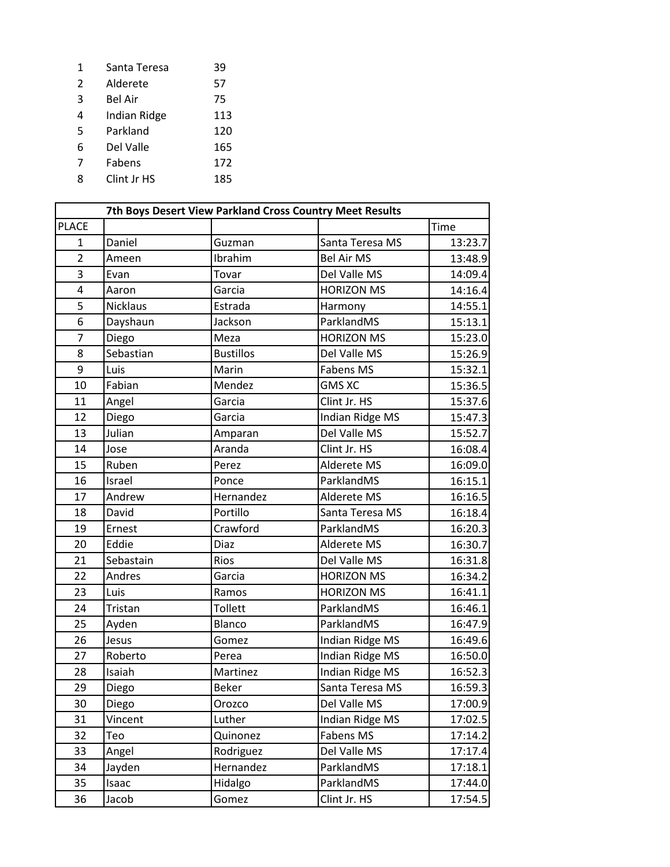Santa Teresa 39 Alderete 57 Bel Air 75 Indian Ridge 113 Parkland 120 Del Valle 165 Fabens 172 8 Clint Jr HS 185

|                |                 |                  | 7th Boys Desert View Parkland Cross Country Meet Results |         |
|----------------|-----------------|------------------|----------------------------------------------------------|---------|
| <b>PLACE</b>   |                 |                  |                                                          | Time    |
| $\mathbf{1}$   | Daniel          | Guzman           | Santa Teresa MS                                          | 13:23.7 |
| $\overline{2}$ | Ameen           | Ibrahim          | <b>Bel Air MS</b>                                        | 13:48.9 |
| 3              | Evan            | Tovar            | Del Valle MS                                             | 14:09.4 |
| 4              | Aaron           | Garcia           | <b>HORIZON MS</b>                                        | 14:16.4 |
| 5              | <b>Nicklaus</b> | Estrada          | Harmony                                                  | 14:55.1 |
| 6              | Dayshaun        | Jackson          | ParklandMS                                               | 15:13.1 |
| $\overline{7}$ | Diego           | Meza             | <b>HORIZON MS</b>                                        | 15:23.0 |
| 8              | Sebastian       | <b>Bustillos</b> | Del Valle MS                                             | 15:26.9 |
| 9              | Luis            | Marin            | <b>Fabens MS</b>                                         | 15:32.1 |
| 10             | Fabian          | Mendez           | <b>GMS XC</b>                                            | 15:36.5 |
| 11             | Angel           | Garcia           | Clint Jr. HS                                             | 15:37.6 |
| 12             | Diego           | Garcia           | Indian Ridge MS                                          | 15:47.3 |
| 13             | Julian          | Amparan          | Del Valle MS                                             | 15:52.7 |
| 14             | Jose            | Aranda           | Clint Jr. HS                                             | 16:08.4 |
| 15             | Ruben           | Perez            | Alderete MS                                              | 16:09.0 |
| 16             | Israel          | Ponce            | ParklandMS                                               | 16:15.1 |
| 17             | Andrew          | Hernandez        | Alderete MS                                              | 16:16.5 |
| 18             | David           | Portillo         | Santa Teresa MS                                          | 16:18.4 |
| 19             | Ernest          | Crawford         | ParklandMS                                               | 16:20.3 |
| 20             | Eddie           | Diaz             | Alderete MS                                              | 16:30.7 |
| 21             | Sebastain       | Rios             | Del Valle MS                                             | 16:31.8 |
| 22             | Andres          | Garcia           | <b>HORIZON MS</b>                                        | 16:34.2 |
| 23             | Luis            | Ramos            | <b>HORIZON MS</b>                                        | 16:41.1 |
| 24             | Tristan         | Tollett          | ParklandMS                                               | 16:46.1 |
| 25             | Ayden           | Blanco           | ParklandMS                                               | 16:47.9 |
| 26             | Jesus           | Gomez            | Indian Ridge MS                                          | 16:49.6 |
| 27             | Roberto         | Perea            | Indian Ridge MS                                          | 16:50.0 |
| 28             | Isaiah          | Martinez         | Indian Ridge MS                                          | 16:52.3 |
| 29             | Diego           | <b>Beker</b>     | Santa Teresa MS                                          | 16:59.3 |
| 30             | Diego           | Orozco           | Del Valle MS                                             | 17:00.9 |
| 31             | Vincent         | Luther           | Indian Ridge MS                                          | 17:02.5 |
| 32             | Teo             | Quinonez         | Fabens MS                                                | 17:14.2 |
| 33             | Angel           | Rodriguez        | Del Valle MS                                             | 17:17.4 |
| 34             | Jayden          | Hernandez        | ParklandMS                                               | 17:18.1 |
| 35             | Isaac           | Hidalgo          | ParklandMS                                               | 17:44.0 |
| 36             | Jacob           | Gomez            | Clint Jr. HS                                             | 17:54.5 |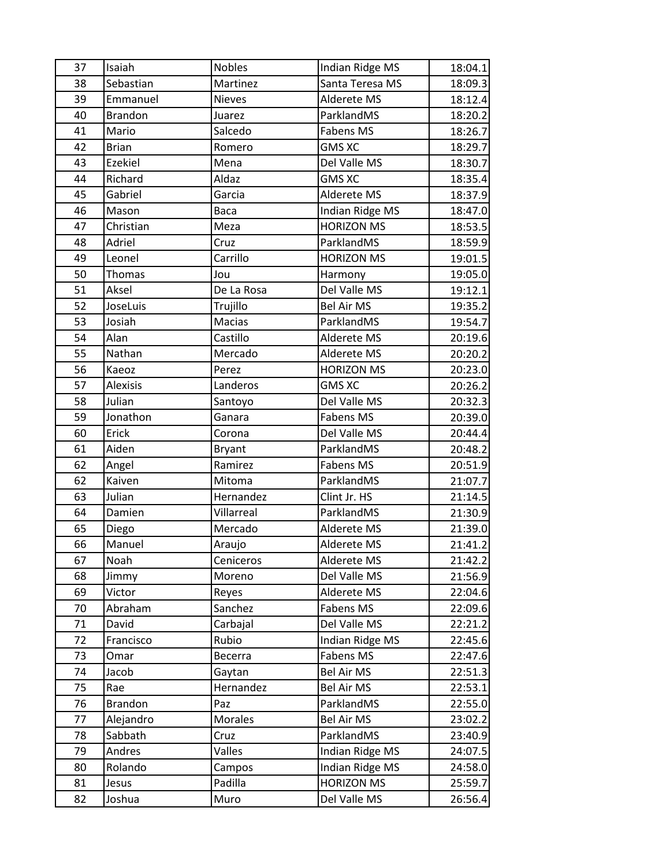| 37 | Isaiah         | <b>Nobles</b> | Indian Ridge MS        | 18:04.1 |
|----|----------------|---------------|------------------------|---------|
| 38 | Sebastian      | Martinez      | Santa Teresa MS        | 18:09.3 |
| 39 | Emmanuel       | <b>Nieves</b> | Alderete MS            | 18:12.4 |
| 40 | <b>Brandon</b> | Juarez        | ParklandMS             | 18:20.2 |
| 41 | Mario          | Salcedo       | Fabens MS              | 18:26.7 |
| 42 | <b>Brian</b>   | Romero        | <b>GMS XC</b>          | 18:29.7 |
| 43 | Ezekiel        | Mena          | Del Valle MS           | 18:30.7 |
| 44 | Richard        | Aldaz         | <b>GMS XC</b>          | 18:35.4 |
| 45 | Gabriel        | Garcia        | Alderete MS            | 18:37.9 |
| 46 | Mason          | Baca          | <b>Indian Ridge MS</b> | 18:47.0 |
| 47 | Christian      | Meza          | <b>HORIZON MS</b>      | 18:53.5 |
| 48 | Adriel         | Cruz          | ParklandMS             | 18:59.9 |
| 49 | Leonel         | Carrillo      | <b>HORIZON MS</b>      | 19:01.5 |
| 50 | Thomas         | Jou           | Harmony                | 19:05.0 |
| 51 | Aksel          | De La Rosa    | Del Valle MS           | 19:12.1 |
| 52 | JoseLuis       | Trujillo      | <b>Bel Air MS</b>      | 19:35.2 |
| 53 | Josiah         | Macias        | ParklandMS             | 19:54.7 |
| 54 | Alan           | Castillo      | Alderete MS            | 20:19.6 |
| 55 | Nathan         | Mercado       | Alderete MS            | 20:20.2 |
| 56 | Kaeoz          | Perez         | <b>HORIZON MS</b>      | 20:23.0 |
| 57 | Alexisis       | Landeros      | <b>GMS XC</b>          | 20:26.2 |
| 58 | Julian         | Santoyo       | Del Valle MS           | 20:32.3 |
| 59 | Jonathon       | Ganara        | Fabens MS              | 20:39.0 |
| 60 | Erick          | Corona        | Del Valle MS           | 20:44.4 |
| 61 | Aiden          | <b>Bryant</b> | ParklandMS             | 20:48.2 |
| 62 | Angel          | Ramirez       | Fabens MS              | 20:51.9 |
| 62 | Kaiven         | Mitoma        | ParklandMS             | 21:07.7 |
| 63 | Julian         | Hernandez     | Clint Jr. HS           | 21:14.5 |
| 64 | Damien         | Villarreal    | ParklandMS             | 21:30.9 |
| 65 | Diego          | Mercado       | Alderete MS            | 21:39.0 |
| 66 | Manuel         | Araujo        | Alderete MS            | 21:41.2 |
| 67 | Noah           | Ceniceros     | Alderete MS            | 21:42.2 |
| 68 | Jimmy          | Moreno        | Del Valle MS           | 21:56.9 |
| 69 | Victor         | Reyes         | Alderete MS            | 22:04.6 |
| 70 | Abraham        | Sanchez       | Fabens MS              | 22:09.6 |
| 71 | David          | Carbajal      | Del Valle MS           | 22:21.2 |
| 72 | Francisco      | Rubio         | Indian Ridge MS        | 22:45.6 |
| 73 | Omar           | Becerra       | Fabens MS              | 22:47.6 |
| 74 | Jacob          | Gaytan        | <b>Bel Air MS</b>      | 22:51.3 |
| 75 | Rae            | Hernandez     | <b>Bel Air MS</b>      | 22:53.1 |
| 76 | <b>Brandon</b> | Paz           | ParklandMS             | 22:55.0 |
| 77 | Alejandro      | Morales       | <b>Bel Air MS</b>      | 23:02.2 |
| 78 | Sabbath        | Cruz          | ParklandMS             | 23:40.9 |
| 79 | Andres         | Valles        | Indian Ridge MS        | 24:07.5 |
| 80 | Rolando        | Campos        | Indian Ridge MS        | 24:58.0 |
| 81 | Jesus          | Padilla       | <b>HORIZON MS</b>      | 25:59.7 |
| 82 | Joshua         | Muro          | Del Valle MS           | 26:56.4 |
|    |                |               |                        |         |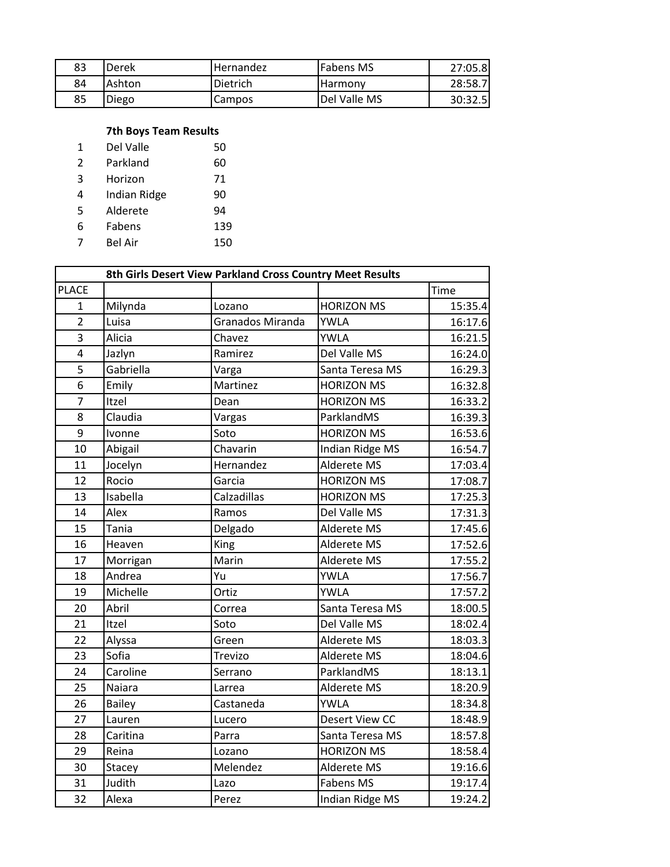| 83 | Derek  | <b>Hernandez</b> | <b>Fabens MS</b> | 27:05.8 |
|----|--------|------------------|------------------|---------|
| 84 | Ashton | <b>Dietrich</b>  | <b>Harmony</b>   | 28:58.7 |
| 85 | Diego  | Campos           | Del Valle MS     | 30:32.5 |

## **7th Boys Team Results**

| 1 | Del Valle    | 50  |
|---|--------------|-----|
| 2 | Parkland     | 60  |
| 3 | Horizon      | 71  |
| 4 | Indian Ridge | 90  |
| 5 | Alderete     | 94  |
| 6 | Fabens       | 139 |
|   | Bel Air      | 150 |

|                         |           | 8th Girls Desert View Parkland Cross Country Meet Results |                        |         |
|-------------------------|-----------|-----------------------------------------------------------|------------------------|---------|
| <b>PLACE</b>            |           |                                                           |                        | Time    |
| $\mathbf{1}$            | Milynda   | Lozano                                                    | <b>HORIZON MS</b>      | 15:35.4 |
| $\overline{2}$          | Luisa     | <b>Granados Miranda</b>                                   | <b>YWLA</b>            | 16:17.6 |
| 3                       | Alicia    | Chavez                                                    | <b>YWLA</b>            | 16:21.5 |
| $\overline{\mathbf{4}}$ | Jazlyn    | Ramirez                                                   | Del Valle MS           | 16:24.0 |
| 5                       | Gabriella | Varga                                                     | Santa Teresa MS        | 16:29.3 |
| 6                       | Emily     | Martinez                                                  | <b>HORIZON MS</b>      | 16:32.8 |
| $\overline{7}$          | Itzel     | Dean                                                      | <b>HORIZON MS</b>      | 16:33.2 |
| 8                       | Claudia   | Vargas                                                    | ParklandMS             | 16:39.3 |
| 9                       | Ivonne    | Soto                                                      | <b>HORIZON MS</b>      | 16:53.6 |
| 10                      | Abigail   | Chavarin                                                  | <b>Indian Ridge MS</b> | 16:54.7 |
| 11                      | Jocelyn   | Hernandez                                                 | Alderete MS            | 17:03.4 |
| 12                      | Rocio     | Garcia                                                    | <b>HORIZON MS</b>      | 17:08.7 |
| 13                      | Isabella  | Calzadillas                                               | <b>HORIZON MS</b>      | 17:25.3 |
| 14                      | Alex      | Ramos                                                     | Del Valle MS           | 17:31.3 |
| 15                      | Tania     | Delgado                                                   | Alderete MS            | 17:45.6 |
| 16                      | Heaven    | King                                                      | Alderete MS            | 17:52.6 |
| 17                      | Morrigan  | Marin                                                     | Alderete MS            | 17:55.2 |
| 18                      | Andrea    | Yu                                                        | <b>YWLA</b>            | 17:56.7 |
| 19                      | Michelle  | Ortiz                                                     | <b>YWLA</b>            | 17:57.2 |
| 20                      | Abril     | Correa                                                    | Santa Teresa MS        | 18:00.5 |
| 21                      | Itzel     | Soto                                                      | Del Valle MS           | 18:02.4 |
| 22                      | Alyssa    | Green                                                     | Alderete MS            | 18:03.3 |
| 23                      | Sofia     | Trevizo                                                   | Alderete MS            | 18:04.6 |
| 24                      | Caroline  | Serrano                                                   | ParklandMS             | 18:13.1 |
| 25                      | Naiara    | Larrea                                                    | Alderete MS            | 18:20.9 |
| 26                      | Bailey    | Castaneda                                                 | <b>YWLA</b>            | 18:34.8 |
| 27                      | Lauren    | Lucero                                                    | <b>Desert View CC</b>  | 18:48.9 |
| 28                      | Caritina  | Parra                                                     | Santa Teresa MS        | 18:57.8 |
| 29                      | Reina     | Lozano                                                    | <b>HORIZON MS</b>      | 18:58.4 |
| 30                      | Stacey    | Melendez                                                  | Alderete MS            | 19:16.6 |
| 31                      | Judith    | Lazo                                                      | <b>Fabens MS</b>       | 19:17.4 |
| 32                      | Alexa     | Perez                                                     | Indian Ridge MS        | 19:24.2 |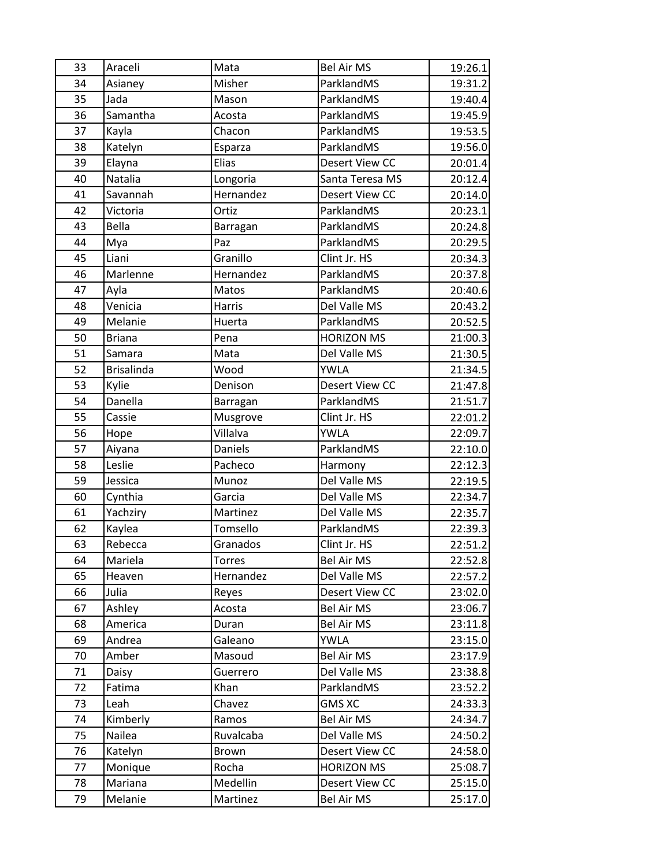| 33 | Araceli           | Mata          | <b>Bel Air MS</b>     | 19:26.1 |
|----|-------------------|---------------|-----------------------|---------|
| 34 | Asianey           | Misher        | ParklandMS            | 19:31.2 |
| 35 | Jada              | Mason         | ParklandMS            | 19:40.4 |
| 36 | Samantha          | Acosta        | ParklandMS            | 19:45.9 |
| 37 | Kayla             | Chacon        | ParklandMS            | 19:53.5 |
| 38 | Katelyn           | Esparza       | ParklandMS            | 19:56.0 |
| 39 | Elayna            | Elias         | Desert View CC        | 20:01.4 |
| 40 | Natalia           | Longoria      | Santa Teresa MS       | 20:12.4 |
| 41 | Savannah          | Hernandez     | Desert View CC        | 20:14.0 |
| 42 | Victoria          | Ortiz         | ParklandMS            | 20:23.1 |
| 43 | Bella             | Barragan      | ParklandMS            | 20:24.8 |
| 44 | Mya               | Paz           | ParklandMS            | 20:29.5 |
| 45 | Liani             | Granillo      | Clint Jr. HS          | 20:34.3 |
| 46 | Marlenne          | Hernandez     | ParklandMS            | 20:37.8 |
| 47 | Ayla              | Matos         | ParklandMS            | 20:40.6 |
| 48 | Venicia           | Harris        | Del Valle MS          | 20:43.2 |
| 49 | Melanie           | Huerta        | ParklandMS            | 20:52.5 |
| 50 | <b>Briana</b>     | Pena          | <b>HORIZON MS</b>     | 21:00.3 |
| 51 | Samara            | Mata          | Del Valle MS          | 21:30.5 |
| 52 | <b>Brisalinda</b> | Wood          | <b>YWLA</b>           | 21:34.5 |
| 53 | Kylie             | Denison       | <b>Desert View CC</b> | 21:47.8 |
| 54 | Danella           | Barragan      | ParklandMS            | 21:51.7 |
| 55 | Cassie            | Musgrove      | Clint Jr. HS          | 22:01.2 |
| 56 | Hope              | Villalva      | <b>YWLA</b>           | 22:09.7 |
| 57 | Aiyana            | Daniels       | ParklandMS            | 22:10.0 |
| 58 | Leslie            | Pacheco       | Harmony               | 22:12.3 |
| 59 | Jessica           | Munoz         | Del Valle MS          | 22:19.5 |
| 60 | Cynthia           | Garcia        | Del Valle MS          | 22:34.7 |
| 61 | Yachziry          | Martinez      | Del Valle MS          | 22:35.7 |
| 62 | Kaylea            | Tomsello      | ParklandMS            | 22:39.3 |
| 63 | Rebecca           | Granados      | Clint Jr. HS          | 22:51.2 |
| 64 | Mariela           | <b>Torres</b> | Bel Air MS            | 22:52.8 |
| 65 | Heaven            | Hernandez     | Del Valle MS          | 22:57.2 |
| 66 | Julia             | Reyes         | Desert View CC        | 23:02.0 |
| 67 | Ashley            | Acosta        | Bel Air MS            | 23:06.7 |
| 68 | America           | Duran         | Bel Air MS            | 23:11.8 |
| 69 | Andrea            | Galeano       | <b>YWLA</b>           | 23:15.0 |
| 70 | Amber             | Masoud        | <b>Bel Air MS</b>     | 23:17.9 |
| 71 | Daisy             | Guerrero      | Del Valle MS          | 23:38.8 |
| 72 | Fatima            | Khan          | ParklandMS            | 23:52.2 |
| 73 | Leah              | Chavez        | <b>GMS XC</b>         | 24:33.3 |
| 74 | Kimberly          | Ramos         | Bel Air MS            | 24:34.7 |
| 75 | Nailea            | Ruvalcaba     | Del Valle MS          | 24:50.2 |
| 76 | Katelyn           | Brown         | <b>Desert View CC</b> | 24:58.0 |
| 77 | Monique           | Rocha         | <b>HORIZON MS</b>     | 25:08.7 |
| 78 | Mariana           | Medellin      | Desert View CC        | 25:15.0 |
| 79 | Melanie           | Martinez      | Bel Air MS            | 25:17.0 |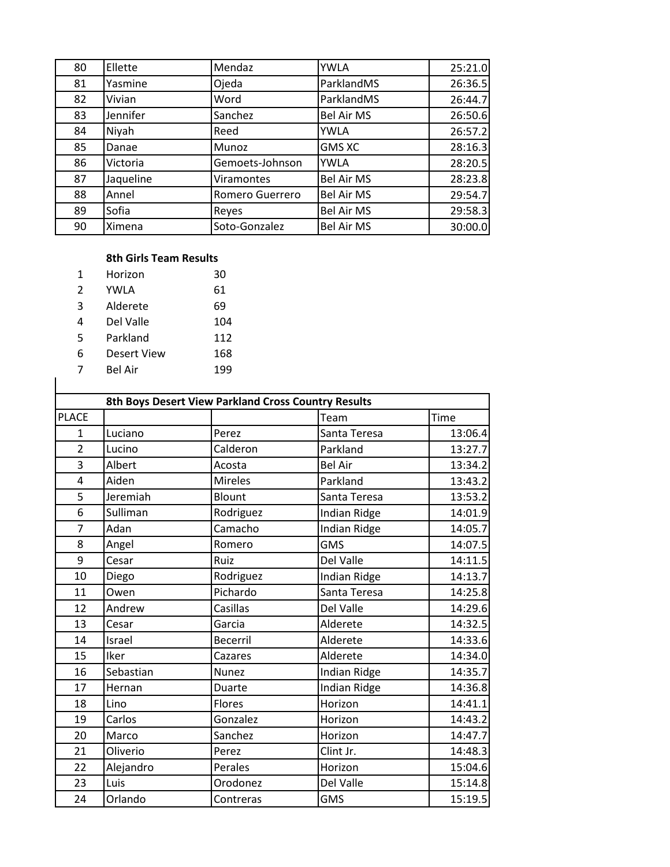| 80 | Ellette   | Mendaz          | <b>YWLA</b>       | 25:21.0 |
|----|-----------|-----------------|-------------------|---------|
| 81 | Yasmine   | Ojeda           | ParklandMS        | 26:36.5 |
| 82 | Vivian    | Word            | ParklandMS        | 26:44.7 |
| 83 | Jennifer  | Sanchez         | <b>Bel Air MS</b> | 26:50.6 |
| 84 | Niyah     | Reed            | YWLA              | 26:57.2 |
| 85 | Danae     | Munoz           | <b>GMS XC</b>     | 28:16.3 |
| 86 | Victoria  | Gemoets-Johnson | <b>YWLA</b>       | 28:20.5 |
| 87 | Jaqueline | Viramontes      | <b>Bel Air MS</b> | 28:23.8 |
| 88 | Annel     | Romero Guerrero | <b>Bel Air MS</b> | 29:54.7 |
| 89 | Sofia     | Reyes           | <b>Bel Air MS</b> | 29:58.3 |
| 90 | Ximena    | Soto-Gonzalez   | <b>Bel Air MS</b> | 30:00.0 |

## **8th Girls Team Results**

| 1 | Horizon     | 30  |
|---|-------------|-----|
| 2 | YWLA        | 61  |
| 3 | Alderete    | 69  |
| 4 | Del Valle   | 104 |
| 5 | Parkland    | 112 |
| 6 | Desert View | 168 |
| 7 | Bel Air     | 199 |

|  | Bel Air |  |  |
|--|---------|--|--|
|  |         |  |  |

|                |           | 8th Boys Desert View Parkland Cross Country Results |                     |         |
|----------------|-----------|-----------------------------------------------------|---------------------|---------|
| <b>PLACE</b>   |           |                                                     | Team                | Time    |
| 1              | Luciano   | Perez                                               | Santa Teresa        | 13:06.4 |
| $\overline{2}$ | Lucino    | Calderon                                            | Parkland            | 13:27.7 |
| $\overline{3}$ | Albert    | Acosta                                              | <b>Bel Air</b>      | 13:34.2 |
| 4              | Aiden     | <b>Mireles</b>                                      | Parkland            | 13:43.2 |
| 5              | Jeremiah  | Blount                                              | Santa Teresa        | 13:53.2 |
| 6              | Sulliman  | Rodriguez                                           | <b>Indian Ridge</b> | 14:01.9 |
| $\overline{7}$ | Adan      | Camacho                                             | <b>Indian Ridge</b> | 14:05.7 |
| 8              | Angel     | Romero                                              | <b>GMS</b>          | 14:07.5 |
| 9              | Cesar     | Ruiz                                                | Del Valle           | 14:11.5 |
| 10             | Diego     | Rodriguez                                           | <b>Indian Ridge</b> | 14:13.7 |
| 11             | Owen      | Pichardo                                            | Santa Teresa        | 14:25.8 |
| 12             | Andrew    | Casillas                                            | Del Valle           | 14:29.6 |
| 13             | Cesar     | Garcia                                              | Alderete            | 14:32.5 |
| 14             | Israel    | <b>Becerril</b>                                     | Alderete            | 14:33.6 |
| 15             | Iker      | Cazares                                             | Alderete            | 14:34.0 |
| 16             | Sebastian | <b>Nunez</b>                                        | <b>Indian Ridge</b> | 14:35.7 |
| 17             | Hernan    | Duarte                                              | <b>Indian Ridge</b> | 14:36.8 |
| 18             | Lino      | Flores                                              | Horizon             | 14:41.1 |
| 19             | Carlos    | Gonzalez                                            | Horizon             | 14:43.2 |
| 20             | Marco     | Sanchez                                             | Horizon             | 14:47.7 |
| 21             | Oliverio  | Perez                                               | Clint Jr.           | 14:48.3 |
| 22             | Alejandro | Perales                                             | Horizon             | 15:04.6 |
| 23             | Luis      | Orodonez                                            | Del Valle           | 15:14.8 |
| 24             | Orlando   | Contreras                                           | <b>GMS</b>          | 15:19.5 |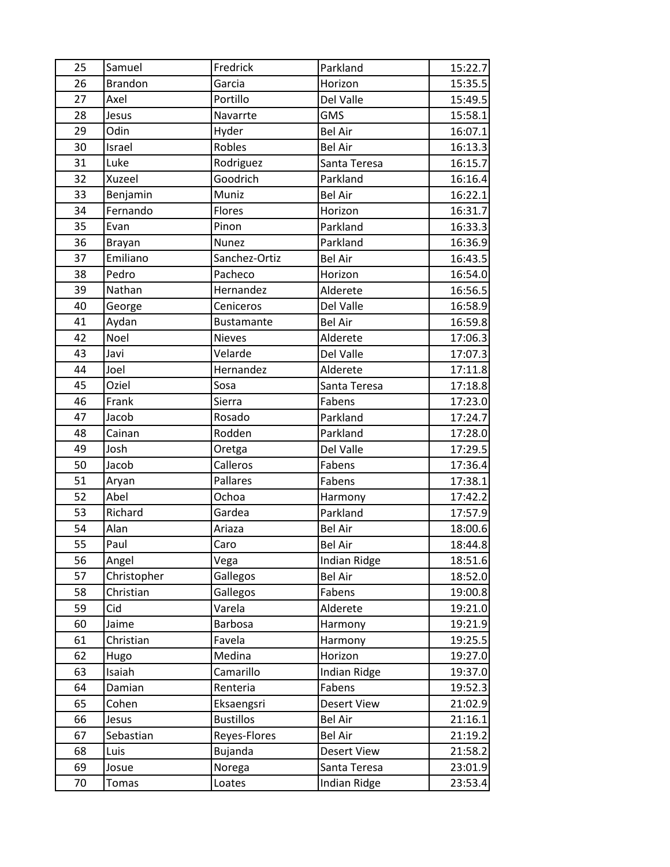| 25 | Samuel         | Fredrick          | Parkland            | 15:22.7 |
|----|----------------|-------------------|---------------------|---------|
| 26 | <b>Brandon</b> | Garcia            | Horizon             | 15:35.5 |
| 27 | Axel           | Portillo          | Del Valle           | 15:49.5 |
| 28 | Jesus          | Navarrte          | <b>GMS</b>          | 15:58.1 |
| 29 | Odin           | Hyder             | <b>Bel Air</b>      | 16:07.1 |
| 30 | Israel         | Robles            | <b>Bel Air</b>      | 16:13.3 |
| 31 | Luke           | Rodriguez         | Santa Teresa        | 16:15.7 |
| 32 | Xuzeel         | Goodrich          | Parkland            | 16:16.4 |
| 33 | Benjamin       | Muniz             | <b>Bel Air</b>      | 16:22.1 |
| 34 | Fernando       | Flores            | Horizon             | 16:31.7 |
| 35 | Evan           | Pinon             | Parkland            | 16:33.3 |
| 36 | Brayan         | Nunez             | Parkland            | 16:36.9 |
| 37 | Emiliano       | Sanchez-Ortiz     | <b>Bel Air</b>      | 16:43.5 |
| 38 | Pedro          | Pacheco           | Horizon             | 16:54.0 |
| 39 | Nathan         | Hernandez         | Alderete            | 16:56.5 |
| 40 | George         | Ceniceros         | Del Valle           | 16:58.9 |
| 41 | Aydan          | <b>Bustamante</b> | <b>Bel Air</b>      | 16:59.8 |
| 42 | Noel           | <b>Nieves</b>     | Alderete            | 17:06.3 |
| 43 | Javi           | Velarde           | Del Valle           | 17:07.3 |
| 44 | Joel           | Hernandez         | Alderete            | 17:11.8 |
| 45 | Oziel          | Sosa              | Santa Teresa        | 17:18.8 |
| 46 | Frank          | Sierra            | Fabens              | 17:23.0 |
| 47 | Jacob          | Rosado            | Parkland            | 17:24.7 |
| 48 | Cainan         | Rodden            | Parkland            | 17:28.0 |
| 49 | Josh           | Oretga            | Del Valle           | 17:29.5 |
| 50 | Jacob          | Calleros          | Fabens              | 17:36.4 |
| 51 | Aryan          | Pallares          | Fabens              | 17:38.1 |
| 52 | Abel           | Ochoa             | Harmony             | 17:42.2 |
| 53 | Richard        | Gardea            | Parkland            | 17:57.9 |
| 54 | Alan           | Ariaza            | <b>Bel Air</b>      | 18:00.6 |
| 55 | Paul           | Caro              | <b>Bel Air</b>      | 18:44.8 |
| 56 | Angel          | Vega              | <b>Indian Ridge</b> | 18:51.6 |
| 57 | Christopher    | Gallegos          | <b>Bel Air</b>      | 18:52.0 |
| 58 | Christian      | Gallegos          | Fabens              | 19:00.8 |
| 59 | Cid            | Varela            | Alderete            | 19:21.0 |
| 60 | Jaime          | Barbosa           | Harmony             | 19:21.9 |
| 61 | Christian      | Favela            | Harmony             | 19:25.5 |
| 62 | Hugo           | Medina            | Horizon             | 19:27.0 |
| 63 | Isaiah         | Camarillo         | <b>Indian Ridge</b> | 19:37.0 |
| 64 | Damian         | Renteria          | Fabens              | 19:52.3 |
| 65 | Cohen          | Eksaengsri        | <b>Desert View</b>  | 21:02.9 |
| 66 | Jesus          | <b>Bustillos</b>  | <b>Bel Air</b>      | 21:16.1 |
| 67 | Sebastian      | Reyes-Flores      | <b>Bel Air</b>      | 21:19.2 |
| 68 | Luis           | Bujanda           | <b>Desert View</b>  | 21:58.2 |
| 69 | Josue          | Norega            | Santa Teresa        | 23:01.9 |
| 70 | <b>Tomas</b>   | Loates            | Indian Ridge        | 23:53.4 |
|    |                |                   |                     |         |